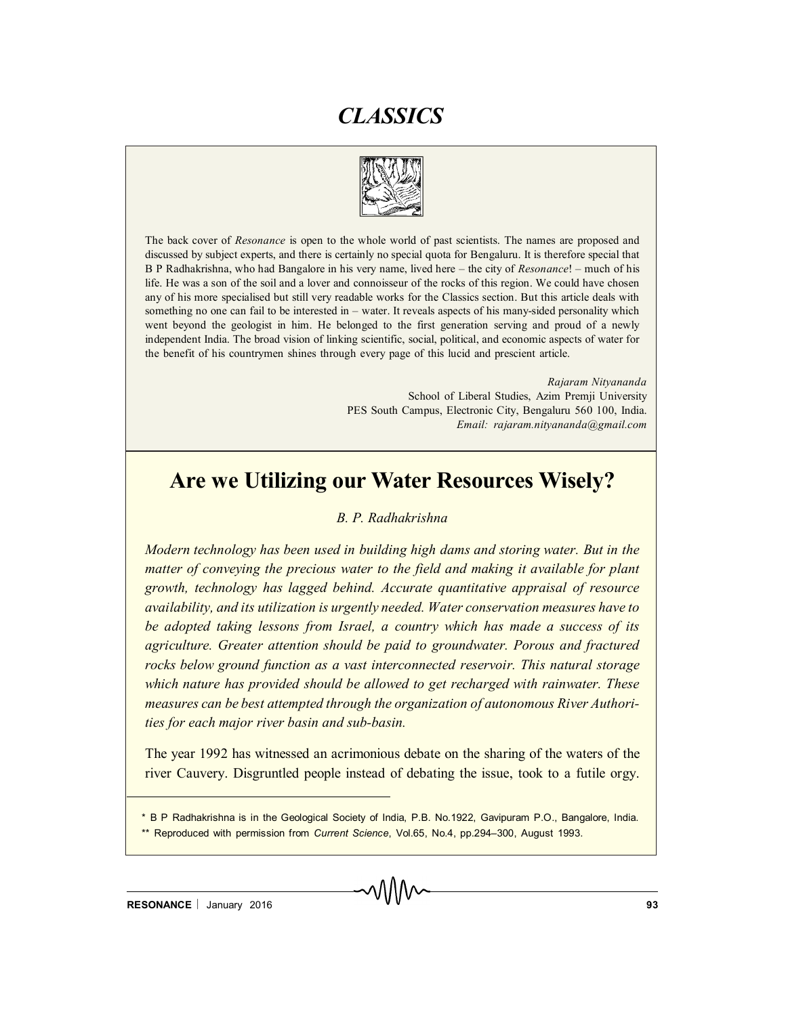

The back cover of *Resonance* is open to the whole world of past scientists. The names are proposed and discussed by subject experts, and there is certainly no special quota for Bengaluru. It is therefore special that B P Radhakrishna, who had Bangalore in his very name, lived here – the city of *Resonance*! – much of his life. He was a son of the soil and a lover and connoisseur of the rocks of this region. We could have chosen any of his more specialised but still very readable works for the Classics section. But this article deals with something no one can fail to be interested in – water. It reveals aspects of his many-sided personality which went beyond the geologist in him. He belonged to the first generation serving and proud of a newly independent India. The broad vision of linking scientific, social, political, and economic aspects of water for the benefit of his countrymen shines through every page of this lucid and prescient article.

> *Rajaram Nityananda* School of Liberal Studies, Azim Premji University PES South Campus, Electronic City, Bengaluru 560 100, India. *Email: rajaram.nityananda@gmail.com*

## **Are we Utilizing our Water Resources Wisely?**

#### *B. P. Radhakrishna*

*Modern technology has been used in building high dams and storing water. But in the matter of conveying the precious water to the field and making it available for plant growth, technology has lagged behind. Accurate quantitative appraisal of resource availability, and its utilization is urgently needed. Water conservation measures have to be adopted taking lessons from Israel, a country which has made a success of its agriculture. Greater attention should be paid to groundwater. Porous and fractured rocks below ground function as a vast interconnected reservoir. This natural storage which nature has provided should be allowed to get recharged with rainwater. These measures can be best attempted through the organization of autonomous River Authorities for each major river basin and sub-basin.*

The year 1992 has witnessed an acrimonious debate on the sharing of the waters of the river Cauvery. Disgruntled people instead of debating the issue, took to a futile orgy.

<sup>\*</sup> B P Radhakrishna is in the Geological Society of India, P.B. No.1922, Gavipuram P.O., Bangalore, India.

<sup>\*\*</sup> Reproduced with permission from *Current Science*, Vol.65, No.4, pp.294–300, August 1993.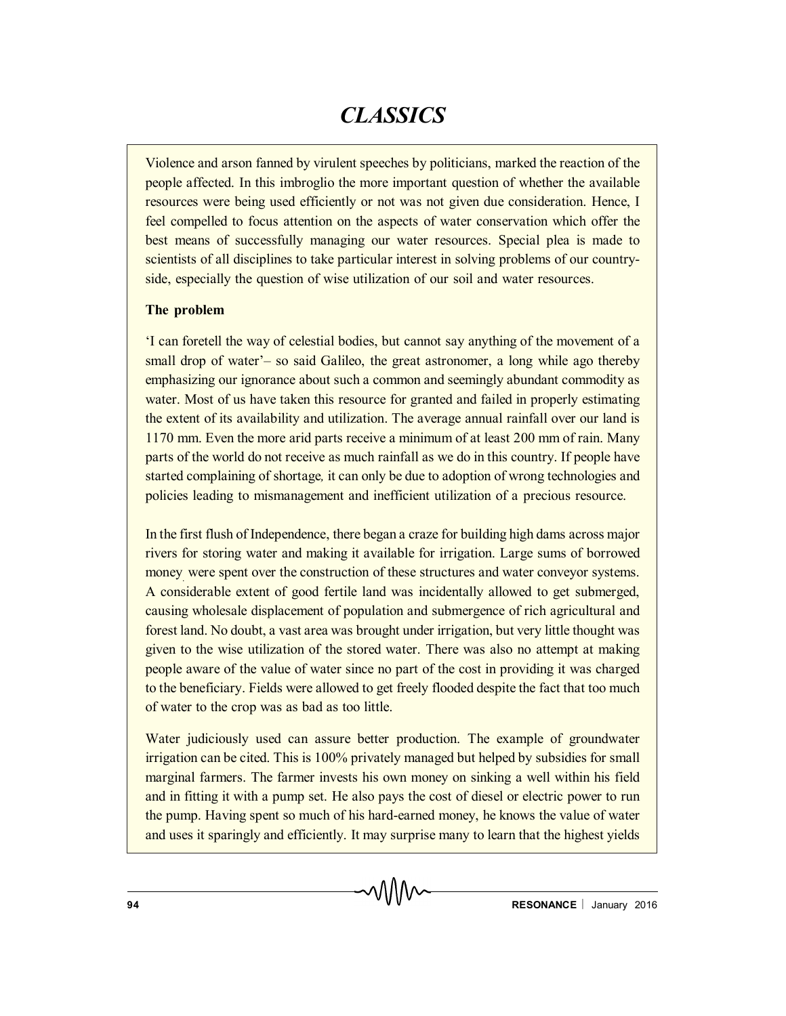Violence and arson fanned by virulent speeches by politicians, marked the reaction of the people affected. In this imbroglio the more important question of whether the available resources were being used efficiently or not was not given due consideration. Hence, I feel compelled to focus attention on the aspects of water conservation which offer the best means of successfully managing our water resources. Special plea is made to scientists of all disciplines to take particular interest in solving problems of our countryside, especially the question of wise utilization of our soil and water resources.

### **The problem**

'I can foretell the way of celestial bodies, but cannot say anything of the movement of a small drop of water'– so said Galileo, the great astronomer, a long while ago thereby emphasizing our ignorance about such a common and seemingly abundant commodity as water. Most of us have taken this resource for granted and failed in properly estimating the extent of its availability and utilization. The average annual rainfall over our land is 1170 mm. Even the more arid parts receive a minimum of at least 200 mm of rain. Many parts of the world do not receive as much rainfall as we do in this country. If people have started complaining of shortage*,* it can only be due to adoption of wrong technologies and policies leading to mismanagement and inefficient utilization of a precious resource.

In the first flush of Independence, there began a craze for building high dams across major rivers for storing water and making it available for irrigation. Large sums of borrowed money were spent over the construction of these structures and water conveyor systems. A considerable extent of good fertile land was incidentally allowed to get submerged, causing wholesale displacement of population and submergence of rich agricultural and forest land. No doubt, a vast area was brought under irrigation, but very little thought was given to the wise utilization of the stored water. There was also no attempt at making people aware of the value of water since no part of the cost in providing it was charged to the beneficiary. Fields were allowed to get freely flooded despite the fact that too much of water to the crop was as bad as too little.

Water judiciously used can assure better production. The example of groundwater irrigation can be cited. This is 100% privately managed but helped by subsidies for small marginal farmers. The farmer invests his own money on sinking a well within his field and in fitting it with a pump set. He also pays the cost of diesel or electric power to run the pump. Having spent so much of his hard-earned money, he knows the value of water and uses it sparingly and efficiently. It may surprise many to learn that the highest yields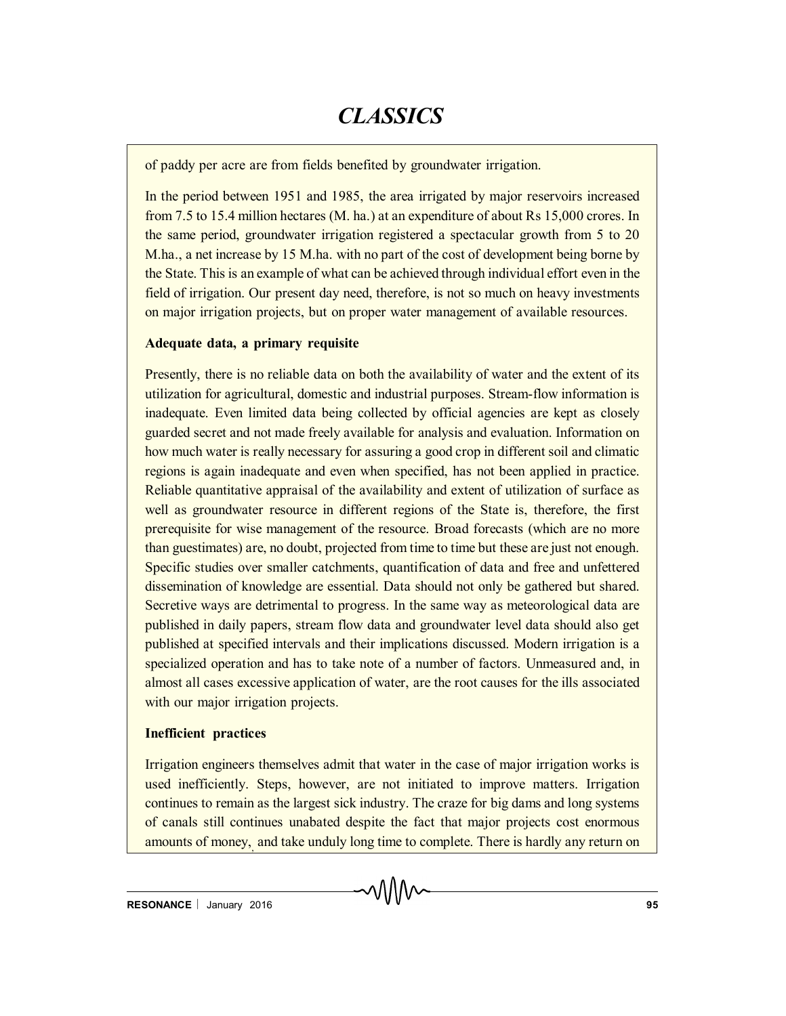of paddy per acre are from fields benefited by groundwater irrigation.

In the period between 1951 and 1985, the area irrigated by major reservoirs increased from 7.5 to 15.4 million hectares (M. ha.) at an expenditure of about Rs 15,000 crores. In the same period, groundwater irrigation registered a spectacular growth from 5 to 20 M.ha., a net increase by 15 M.ha. with no part of the cost of development being borne by the State. This is an example of what can be achieved through individual effort even in the field of irrigation. Our present day need, therefore, is not so much on heavy investments on major irrigation projects, but on proper water management of available resources.

### **Adequate data, a primary requisite**

Presently, there is no reliable data on both the availability of water and the extent of its utilization for agricultural, domestic and industrial purposes. Stream-flow information is inadequate. Even limited data being collected by official agencies are kept as closely guarded secret and not made freely available for analysis and evaluation. Information on how much water is really necessary for assuring a good crop in different soil and climatic regions is again inadequate and even when specified, has not been applied in practice. Reliable quantitative appraisal of the availability and extent of utilization of surface as well as groundwater resource in different regions of the State is, therefore, the first prerequisite for wise management of the resource. Broad forecasts (which are no more than guestimates) are, no doubt, projected from time to time but these are just not enough. Specific studies over smaller catchments, quantification of data and free and unfettered dissemination of knowledge are essential. Data should not only be gathered but shared. Secretive ways are detrimental to progress. In the same way as meteorological data are published in daily papers, stream flow data and groundwater level data should also get published at specified intervals and their implications discussed. Modern irrigation is a specialized operation and has to take note of a number of factors. Unmeasured and, in almost all cases excessive application of water, are the root causes for the ills associated with our major irrigation projects.

### **Inefficient practices**

Irrigation engineers themselves admit that water in the case of major irrigation works is used inefficiently. Steps, however, are not initiated to improve matters. Irrigation continues to remain as the largest sick industry. The craze for big dams and long systems of canals still continues unabated despite the fact that major projects cost enormous amounts of money, and take unduly long time to complete. There is hardly any return on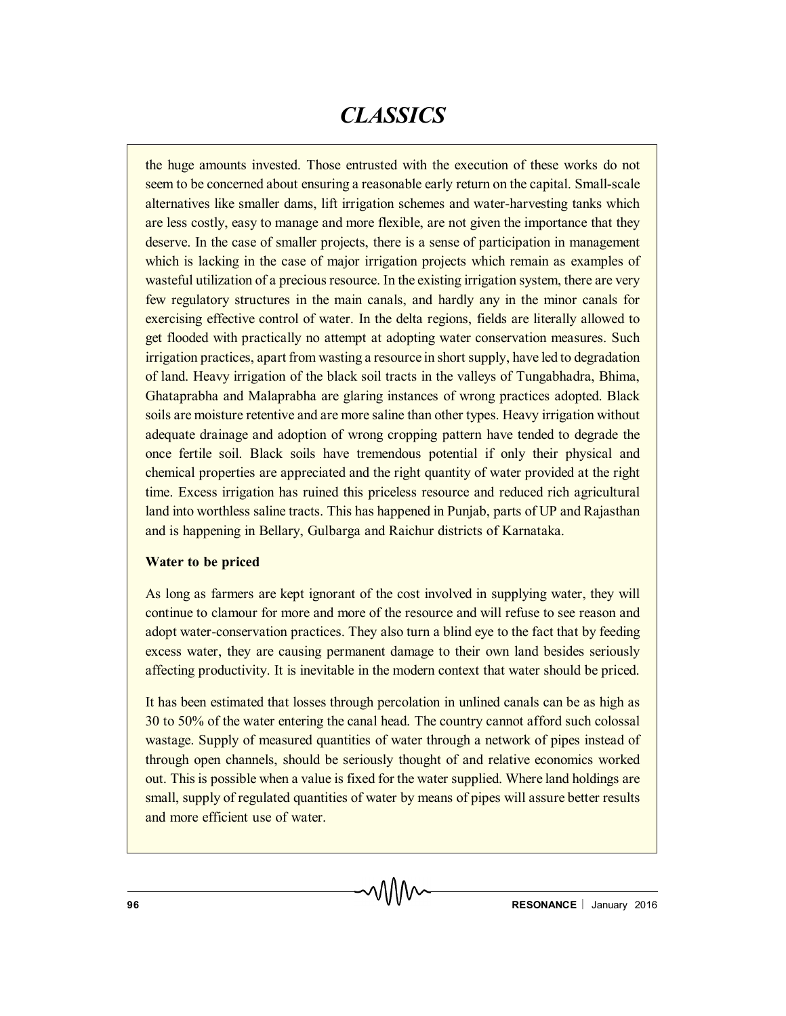the huge amounts invested. Those entrusted with the execution of these works do not seem to be concerned about ensuring a reasonable early return on the capital. Small-scale alternatives like smaller dams, lift irrigation schemes and water-harvesting tanks which are less costly, easy to manage and more flexible, are not given the importance that they deserve. In the case of smaller projects, there is a sense of participation in management which is lacking in the case of major irrigation projects which remain as examples of wasteful utilization of a precious resource. In the existing irrigation system, there are very few regulatory structures in the main canals, and hardly any in the minor canals for exercising effective control of water. In the delta regions, fields are literally allowed to get flooded with practically no attempt at adopting water conservation measures. Such irrigation practices, apart from wasting a resource in short supply, have led to degradation of land. Heavy irrigation of the black soil tracts in the valleys of Tungabhadra, Bhima, Ghataprabha and Malaprabha are glaring instances of wrong practices adopted. Black soils are moisture retentive and are more saline than other types. Heavy irrigation without adequate drainage and adoption of wrong cropping pattern have tended to degrade the once fertile soil. Black soils have tremendous potential if only their physical and chemical properties are appreciated and the right quantity of water provided at the right time. Excess irrigation has ruined this priceless resource and reduced rich agricultural land into worthless saline tracts. This has happened in Punjab, parts of UP and Rajasthan and is happening in Bellary, Gulbarga and Raichur districts of Karnataka.

### **Water to be priced**

As long as farmers are kept ignorant of the cost involved in supplying water, they will continue to clamour for more and more of the resource and will refuse to see reason and adopt water-conservation practices. They also turn a blind eye to the fact that by feeding excess water, they are causing permanent damage to their own land besides seriously affecting productivity. It is inevitable in the modern context that water should be priced.

It has been estimated that losses through percolation in unlined canals can be as high as 30 to 50% of the water entering the canal head. The country cannot afford such colossal wastage. Supply of measured quantities of water through a network of pipes instead of through open channels, should be seriously thought of and relative economics worked out. This is possible when a value is fixed for the water supplied. Where land holdings are small, supply of regulated quantities of water by means of pipes will assure better results and more efficient use of water.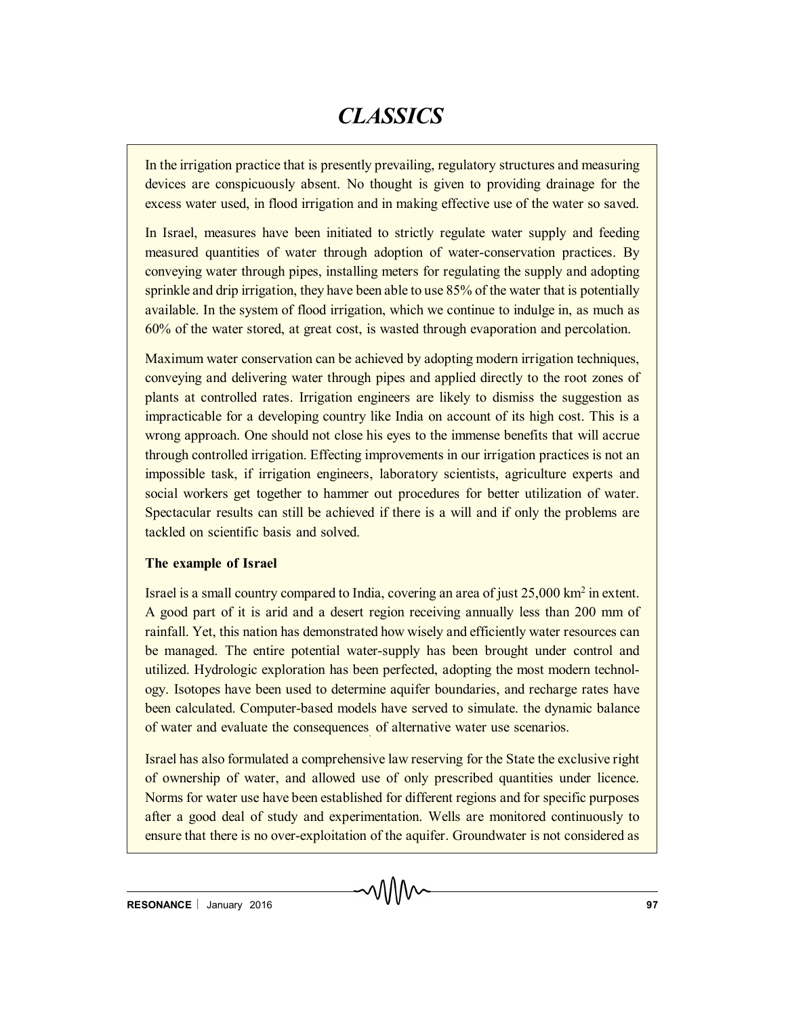In the irrigation practice that is presently prevailing, regulatory structures and measuring devices are conspicuously absent. No thought is given to providing drainage for the excess water used, in flood irrigation and in making effective use of the water so saved.

In Israel, measures have been initiated to strictly regulate water supply and feeding measured quantities of water through adoption of water-conservation practices. By conveying water through pipes, installing meters for regulating the supply and adopting sprinkle and drip irrigation, they have been able to use 85% of the water that is potentially available. In the system of flood irrigation, which we continue to indulge in, as much as 60% of the water stored, at great cost, is wasted through evaporation and percolation.

Maximum water conservation can be achieved by adopting modern irrigation techniques, conveying and delivering water through pipes and applied directly to the root zones of plants at controlled rates. Irrigation engineers are likely to dismiss the suggestion as impracticable for a developing country like India on account of its high cost. This is a wrong approach. One should not close his eyes to the immense benefits that will accrue through controlled irrigation. Effecting improvements in our irrigation practices is not an impossible task, if irrigation engineers, laboratory scientists, agriculture experts and social workers get together to hammer out procedures for better utilization of water. Spectacular results can still be achieved if there is a will and if only the problems are tackled on scientific basis and solved.

### **The example of Israel**

Israel is a small country compared to India, covering an area of just 25,000 km<sup>2</sup> in extent. A good part of it is arid and a desert region receiving annually less than 200 mm of rainfall. Yet, this nation has demonstrated how wisely and efficiently water resources can be managed. The entire potential water-supply has been brought under control and utilized. Hydrologic exploration has been perfected, adopting the most modern technology. Isotopes have been used to determine aquifer boundaries, and recharge rates have been calculated. Computer-based models have served to simulate. the dynamic balance of water and evaluate the consequences . of alternative water use scenarios.

Israel has also formulated a comprehensive law reserving for the State the exclusive right of ownership of water, and allowed use of only prescribed quantities under licence. Norms for water use have been established for different regions and for specific purposes after a good deal of study and experimentation. Wells are monitored continuously to ensure that there is no over-exploitation of the aquifer. Groundwater is not considered as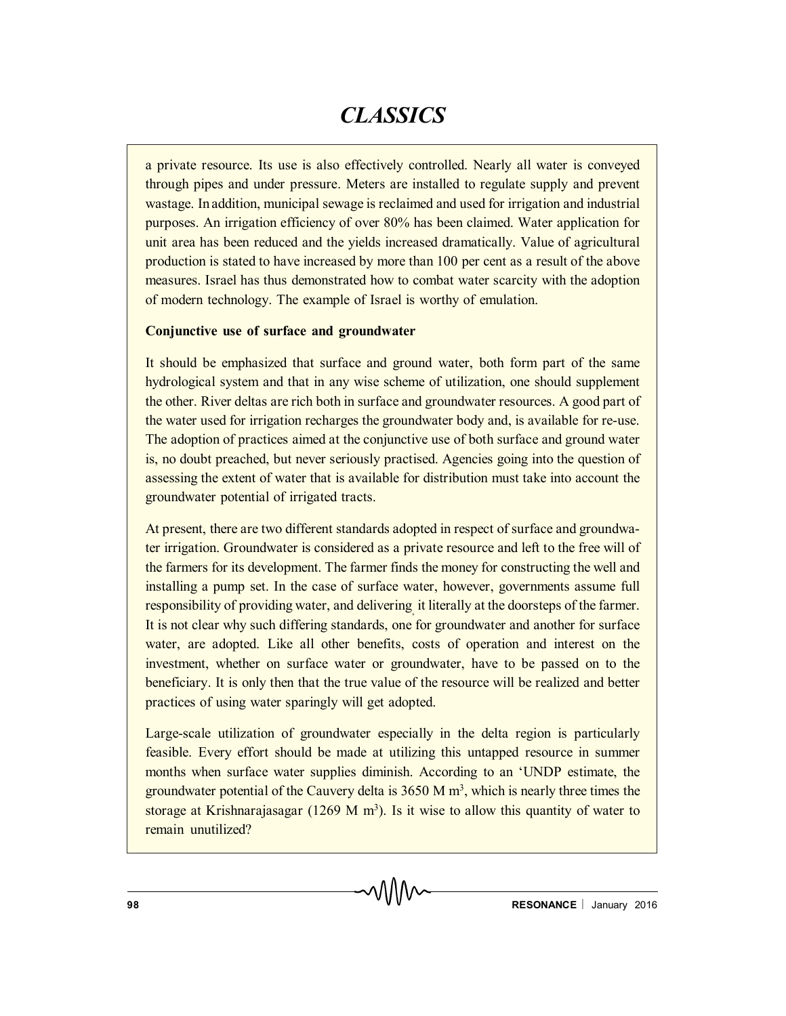a private resource. Its use is also effectively controlled. Nearly all water is conveyed through pipes and under pressure. Meters are installed to regulate supply and prevent wastage. In addition, municipal sewage is reclaimed and used for irrigation and industrial purposes. An irrigation efficiency of over 80% has been claimed. Water application for unit area has been reduced and the yields increased dramatically. Value of agricultural production is stated to have increased by more than 100 per cent as a result of the above measures. Israel has thus demonstrated how to combat water scarcity with the adoption of modern technology. The example of Israel is worthy of emulation.

### **Conjunctive use of surface and groundwater**

It should be emphasized that surface and ground water, both form part of the same hydrological system and that in any wise scheme of utilization, one should supplement the other. River deltas are rich both in surface and groundwater resources. A good part of the water used for irrigation recharges the groundwater body and, is available for re-use. The adoption of practices aimed at the conjunctive use of both surface and ground water is, no doubt preached, but never seriously practised. Agencies going into the question of assessing the extent of water that is available for distribution must take into account the groundwater potential of irrigated tracts.

At present, there are two different standards adopted in respect of surface and groundwater irrigation. Groundwater is considered as a private resource and left to the free will of the farmers for its development. The farmer finds the money for constructing the well and installing a pump set. In the case of surface water, however, governments assume full responsibility of providing water, and delivering, it literally at the doorsteps of the farmer. It is not clear why such differing standards, one for groundwater and another for surface water, are adopted. Like all other benefits, costs of operation and interest on the investment, whether on surface water or groundwater, have to be passed on to the beneficiary. It is only then that the true value of the resource will be realized and better practices of using water sparingly will get adopted.

Large-scale utilization of groundwater especially in the delta region is particularly feasible. Every effort should be made at utilizing this untapped resource in summer months when surface water supplies diminish. According to an 'UNDP estimate, the groundwater potential of the Cauvery delta is  $3650 \text{ M m}^3$ , which is nearly three times the storage at Krishnarajasagar  $(1269 \text{ M m}^3)$ . Is it wise to allow this quantity of water to remain unutilized?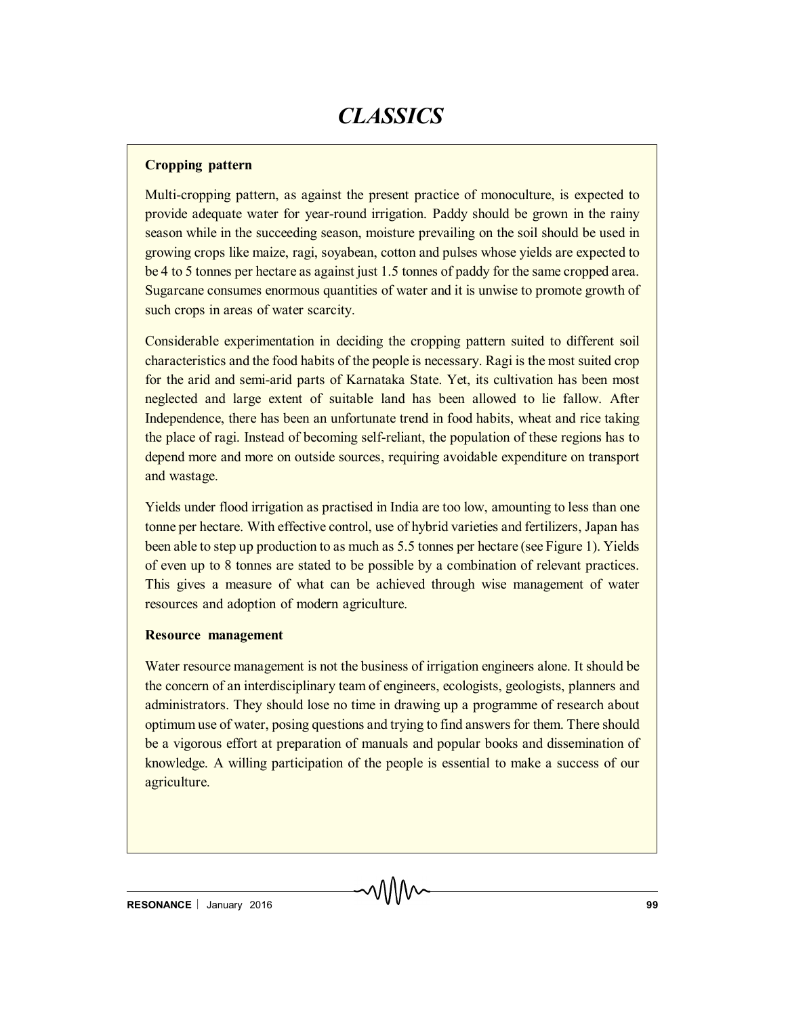### **Cropping pattern**

Multi-cropping pattern, as against the present practice of monoculture, is expected to provide adequate water for year-round irrigation. Paddy should be grown in the rainy season while in the succeeding season, moisture prevailing on the soil should be used in growing crops like maize, ragi, soyabean, cotton and pulses whose yields are expected to be 4 to 5 tonnes per hectare as against just 1.5 tonnes of paddy for the same cropped area. Sugarcane consumes enormous quantities of water and it is unwise to promote growth of such crops in areas of water scarcity.

Considerable experimentation in deciding the cropping pattern suited to different soil characteristics and the food habits of the people is necessary. Ragi is the most suited crop for the arid and semi-arid parts of Karnataka State. Yet, its cultivation has been most neglected and large extent of suitable land has been allowed to lie fallow. After Independence, there has been an unfortunate trend in food habits, wheat and rice taking the place of ragi. Instead of becoming self-reliant, the population of these regions has to depend more and more on outside sources, requiring avoidable expenditure on transport and wastage.

Yields under flood irrigation as practised in India are too low, amounting to less than one tonne per hectare. With effective control, use of hybrid varieties and fertilizers, Japan has been able to step up production to as much as 5.5 tonnes per hectare (see Figure 1). Yields of even up to 8 tonnes are stated to be possible by a combination of relevant practices. This gives a measure of what can be achieved through wise management of water resources and adoption of modern agriculture.

#### **Resource management**

Water resource management is not the business of irrigation engineers alone. It should be the concern of an interdisciplinary team of engineers, ecologists, geologists, planners and administrators. They should lose no time in drawing up a programme of research about optimum use of water, posing questions and trying to find answers for them. There should be a vigorous effort at preparation of manuals and popular books and dissemination of knowledge. A willing participation of the people is essential to make a success of our agriculture.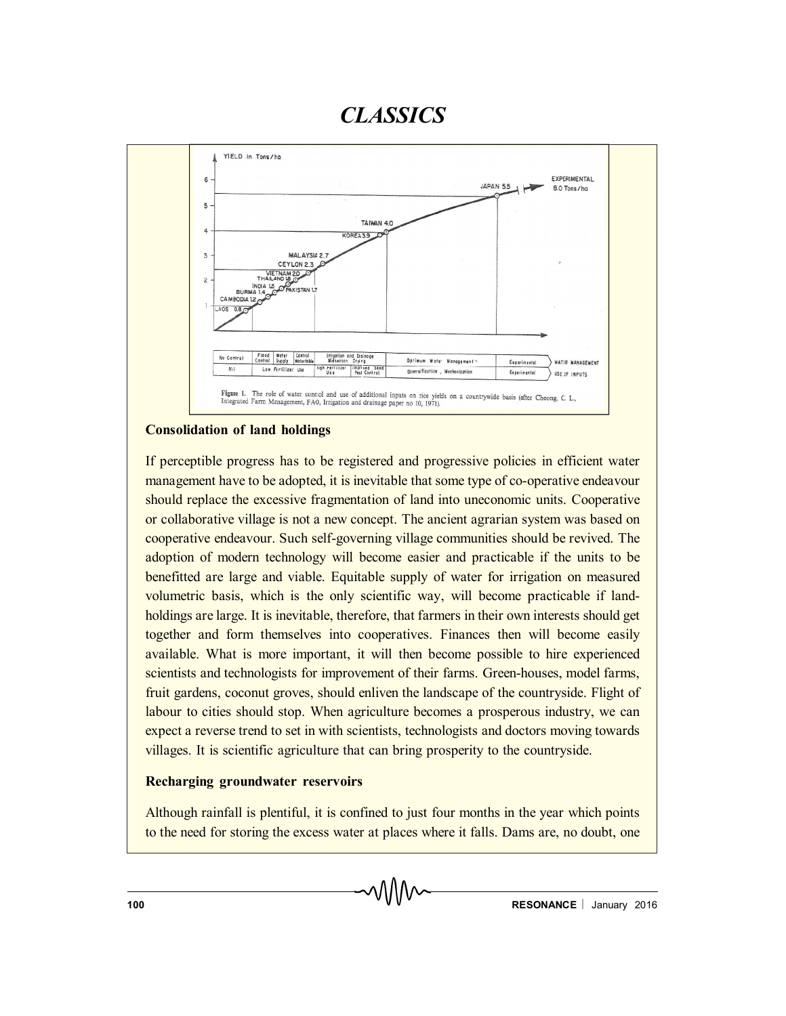

### **Consolidation of land holdings**

If perceptible progress has to be registered and progressive policies in efficient water management have to be adopted, it is inevitable that some type of co-operative endeavour should replace the excessive fragmentation of land into uneconomic units. Cooperative or collaborative village is not a new concept. The ancient agrarian system was based on cooperative endeavour. Such self-governing village communities should be revived. The adoption of modern technology will become easier and practicable if the units to be benefitted are large and viable. Equitable supply of water for irrigation on measured volumetric basis, which is the only scientific way, will become practicable if landholdings are large. It is inevitable, therefore, that farmers in their own interests should get together and form themselves into cooperatives. Finances then will become easily available. What is more important, it will then become possible to hire experienced scientists and technologists for improvement of their farms. Green-houses, model farms, fruit gardens, coconut groves, should enliven the landscape of the countryside. Flight of labour to cities should stop. When agriculture becomes a prosperous industry, we can expect a reverse trend to set in with scientists, technologists and doctors moving towards villages. It is scientific agriculture that can bring prosperity to the countryside.

### **Recharging groundwater reservoirs**

Although rainfall is plentiful, it is confined to just four months in the year which points to the need for storing the excess water at places where it falls. Dams are, no doubt, one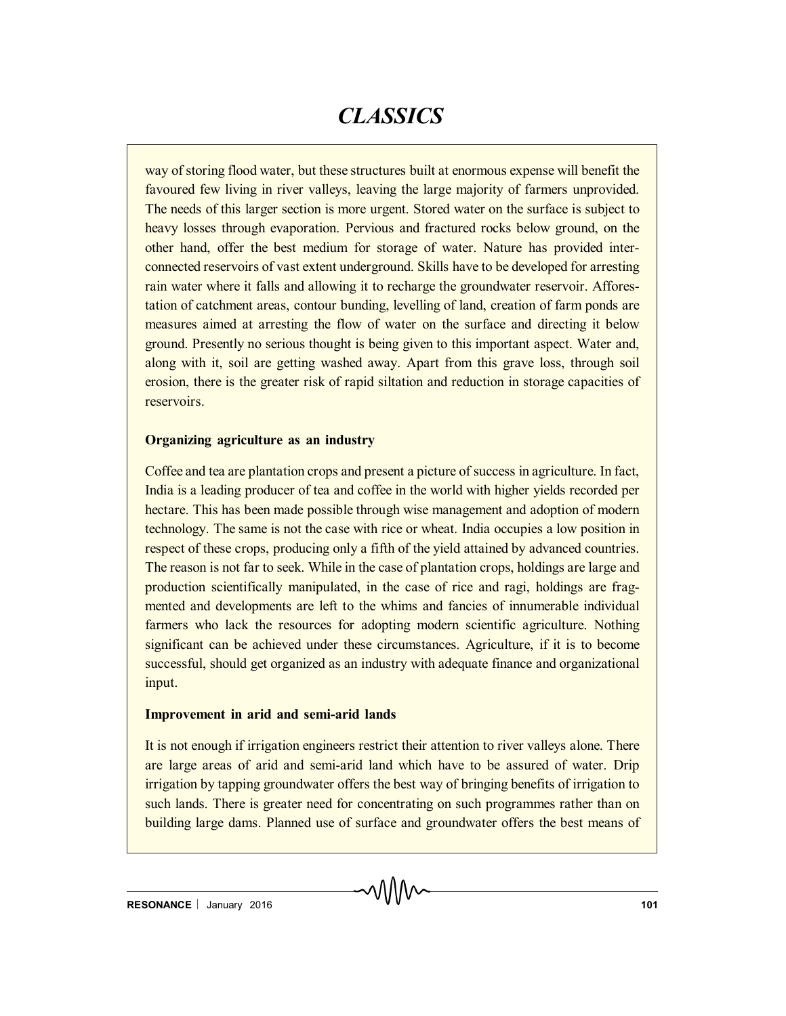way of storing flood water, but these structures built at enormous expense will benefit the favoured few living in river valleys, leaving the large majority of farmers unprovided. The needs of this larger section is more urgent. Stored water on the surface is subject to heavy losses through evaporation. Pervious and fractured rocks below ground, on the other hand, offer the best medium for storage of water. Nature has provided interconnected reservoirs of vast extent underground. Skills have to be developed for arresting rain water where it falls and allowing it to recharge the groundwater reservoir. Afforestation of catchment areas, contour bunding, levelling of land, creation of farm ponds are measures aimed at arresting the flow of water on the surface and directing it below ground. Presently no serious thought is being given to this important aspect. Water and, along with it, soil are getting washed away. Apart from this grave loss, through soil erosion, there is the greater risk of rapid siltation and reduction in storage capacities of reservoirs.

#### **Organizing agriculture as an industry**

Coffee and tea are plantation crops and present a picture of success in agriculture. In fact, India is a leading producer of tea and coffee in the world with higher yields recorded per hectare. This has been made possible through wise management and adoption of modern technology. The same is not the case with rice or wheat. India occupies a low position in respect of these crops, producing only a fifth of the yield attained by advanced countries. The reason is not far to seek. While in the case of plantation crops, holdings are large and production scientifically manipulated, in the case of rice and ragi, holdings are fragmented and developments are left to the whims and fancies of innumerable individual farmers who lack the resources for adopting modern scientific agriculture. Nothing significant can be achieved under these circumstances. Agriculture, if it is to become successful, should get organized as an industry with adequate finance and organizational input.

#### **Improvement in arid and semi-arid lands**

It is not enough if irrigation engineers restrict their attention to river valleys alone. There are large areas of arid and semi-arid land which have to be assured of water. Drip irrigation by tapping groundwater offers the best way of bringing benefits of irrigation to such lands. There is greater need for concentrating on such programmes rather than on building large dams. Planned use of surface and groundwater offers the best means of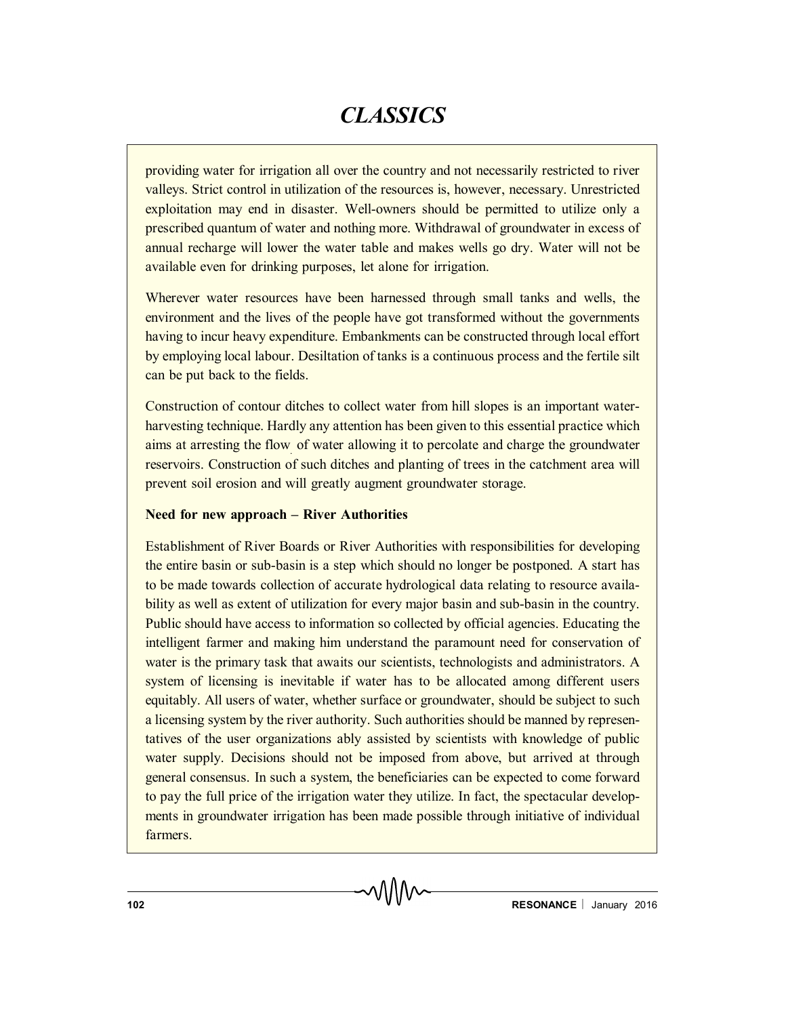providing water for irrigation all over the country and not necessarily restricted to river valleys. Strict control in utilization of the resources is, however, necessary. Unrestricted exploitation may end in disaster. Well-owners should be permitted to utilize only a prescribed quantum of water and nothing more. Withdrawal of groundwater in excess of annual recharge will lower the water table and makes wells go dry. Water will not be available even for drinking purposes, let alone for irrigation.

Wherever water resources have been harnessed through small tanks and wells, the environment and the lives of the people have got transformed without the governments having to incur heavy expenditure. Embankments can be constructed through local effort by employing local labour. Desiltation of tanks is a continuous process and the fertile silt can be put back to the fields.

Construction of contour ditches to collect water from hill slopes is an important waterharvesting technique. Hardly any attention has been given to this essential practice which aims at arresting the flow. of water allowing it to percolate and charge the groundwater reservoirs. Construction of such ditches and planting of trees in the catchment area will prevent soil erosion and will greatly augment groundwater storage.

### **Need for new approach – River Authorities**

Establishment of River Boards or River Authorities with responsibilities for developing the entire basin or sub-basin is a step which should no longer be postponed. A start has to be made towards collection of accurate hydrological data relating to resource availability as well as extent of utilization for every major basin and sub-basin in the country. Public should have access to information so collected by official agencies. Educating the intelligent farmer and making him understand the paramount need for conservation of water is the primary task that awaits our scientists, technologists and administrators. A system of licensing is inevitable if water has to be allocated among different users equitably. All users of water, whether surface or groundwater, should be subject to such a licensing system by the river authority. Such authorities should be manned by representatives of the user organizations ably assisted by scientists with knowledge of public water supply. Decisions should not be imposed from above, but arrived at through general consensus. In such a system, the beneficiaries can be expected to come forward to pay the full price of the irrigation water they utilize. In fact, the spectacular developments in groundwater irrigation has been made possible through initiative of individual farmers.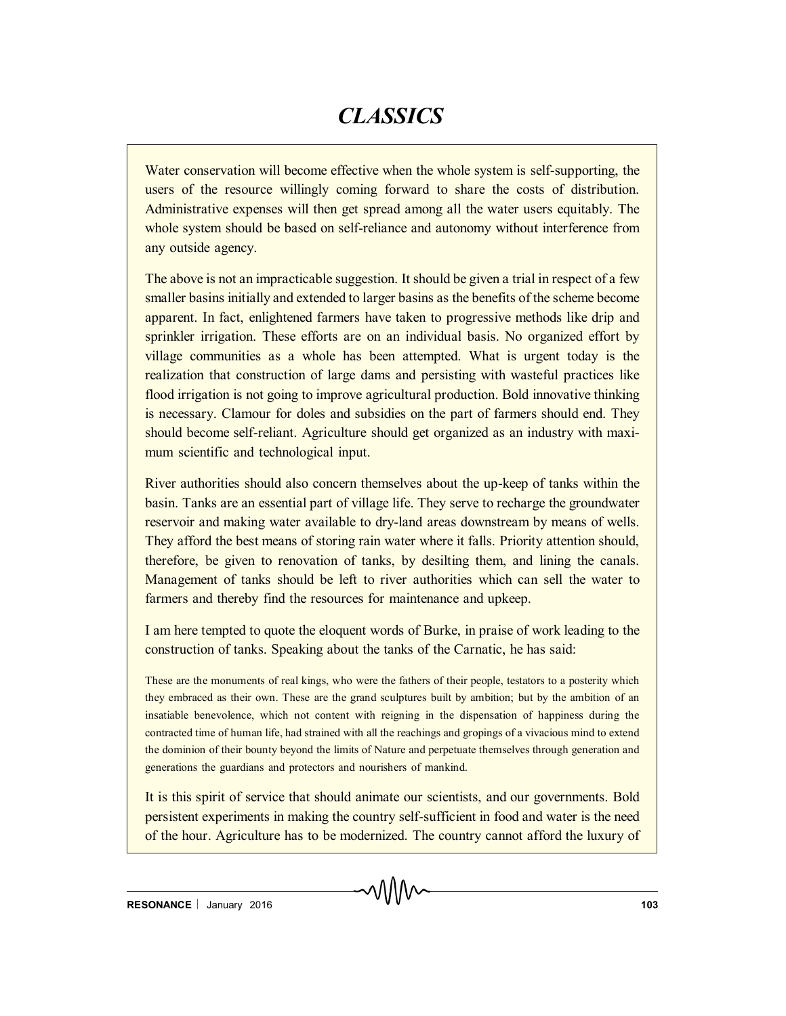Water conservation will become effective when the whole system is self-supporting, the users of the resource willingly coming forward to share the costs of distribution. Administrative expenses will then get spread among all the water users equitably. The whole system should be based on self-reliance and autonomy without interference from any outside agency.

The above is not an impracticable suggestion. It should be given a trial in respect of a few smaller basins initially and extended to larger basins as the benefits of the scheme become apparent. In fact, enlightened farmers have taken to progressive methods like drip and sprinkler irrigation. These efforts are on an individual basis. No organized effort by village communities as a whole has been attempted. What is urgent today is the realization that construction of large dams and persisting with wasteful practices like flood irrigation is not going to improve agricultural production. Bold innovative thinking is necessary. Clamour for doles and subsidies on the part of farmers should end. They should become self-reliant. Agriculture should get organized as an industry with maximum scientific and technological input.

River authorities should also concern themselves about the up-keep of tanks within the basin. Tanks are an essential part of village life. They serve to recharge the groundwater reservoir and making water available to dry-land areas downstream by means of wells. They afford the best means of storing rain water where it falls. Priority attention should, therefore, be given to renovation of tanks, by desilting them, and lining the canals. Management of tanks should be left to river authorities which can sell the water to farmers and thereby find the resources for maintenance and upkeep.

I am here tempted to quote the eloquent words of Burke, in praise of work leading to the construction of tanks. Speaking about the tanks of the Carnatic, he has said:

These are the monuments of real kings, who were the fathers of their people, testators to a posterity which they embraced as their own. These are the grand sculptures built by ambition; but by the ambition of an insatiable benevolence, which not content with reigning in the dispensation of happiness during the contracted time of human life, had strained with all the reachings and gropings of a vivacious mind to extend the dominion of their bounty beyond the limits of Nature and perpetuate themselves through generation and generations the guardians and protectors and nourishers of mankind.

It is this spirit of service that should animate our scientists, and our governments. Bold persistent experiments in making the country self-sufficient in food and water is the need of the hour. Agriculture has to be modernized. The country cannot afford the luxury of